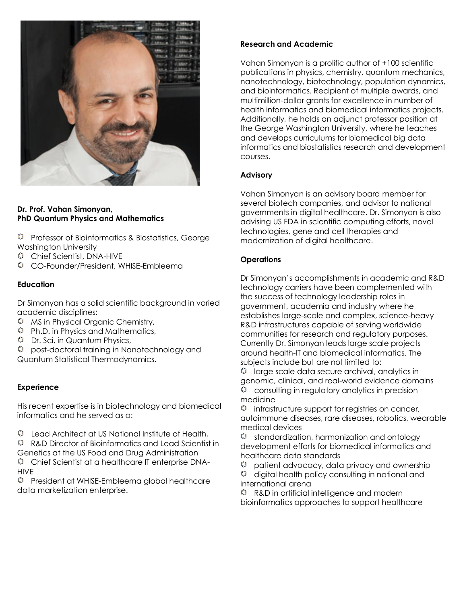

#### **Dr. Prof. Vahan Simonyan, PhD Quantum Physics and Mathematics**

<sup>©</sup> Professor of Bioinformatics & Biostatistics, George Washington University

- Chief Scientist, DNA-HIVE
- CO-Founder/President, WHISE-Embleema

# **Education**

Dr Simonyan has a solid scientific background in varied academic disciplines:

- MS in Physical Organic Chemistry,
- Ph.D. in Physics and Mathematics,
- Dr. Sci. in Quantum Physics,
- post-doctoral training in Nanotechnology and Quantum Statistical Thermodynamics.

### **Experience**

His recent expertise is in biotechnology and biomedical informatics and he served as a:

 $\heartsuit$  Lead Architect at US National Institute of Health,

 R&D Director of Bioinformatics and Lead Scientist in Genetics at the US Food and Drug Administration

 Chief Scientist at a healthcare IT enterprise DNA-**HIVF** 

 President at WHISE-Embleema global healthcare data marketization enterprise.

# **Research and Academic**

Vahan Simonyan is a prolific author of +100 scientific publications in physics, chemistry, quantum mechanics, nanotechnology, biotechnology, population dynamics, and bioinformatics. Recipient of multiple awards, and multimillion-dollar grants for excellence in number of health informatics and biomedical informatics projects. Additionally, he holds an adjunct professor position at the George Washington University, where he teaches and develops curriculums for biomedical big data informatics and biostatistics research and development courses.

# **Advisory**

Vahan Simonyan is an advisory board member for several biotech companies, and advisor to national governments in digital healthcare. Dr. Simonyan is also advising US FDA in scientific computing efforts, novel technologies, gene and cell therapies and modernization of digital healthcare.

# **Operations**

Dr Simonyan's accomplishments in academic and R&D technology carriers have been complemented with the success of technology leadership roles in government, academia and industry where he establishes large-scale and complex, science-heavy R&D infrastructures capable of serving worldwide communities for research and regulatory purposes. Currently Dr. Simonyan leads large scale projects around health-IT and biomedical informatics. The subjects include but are not limited to:

 $\mathbb O$  large scale data secure archival, analytics in genomic, clinical, and real-world evidence domains consulting in regulatory analytics in precision medicine

 $\heartsuit$  infrastructure support for registries on cancer, autoimmune diseases, rare diseases, robotics, wearable medical devices

 $\heartsuit$  standardization, harmonization and ontology development efforts for biomedical informatics and healthcare data standards

 patient advocacy, data privacy and ownership ٧

 $Q$  digital health policy consulting in national and international arena

 R&D in artificial intelligence and modern bioinformatics approaches to support healthcare